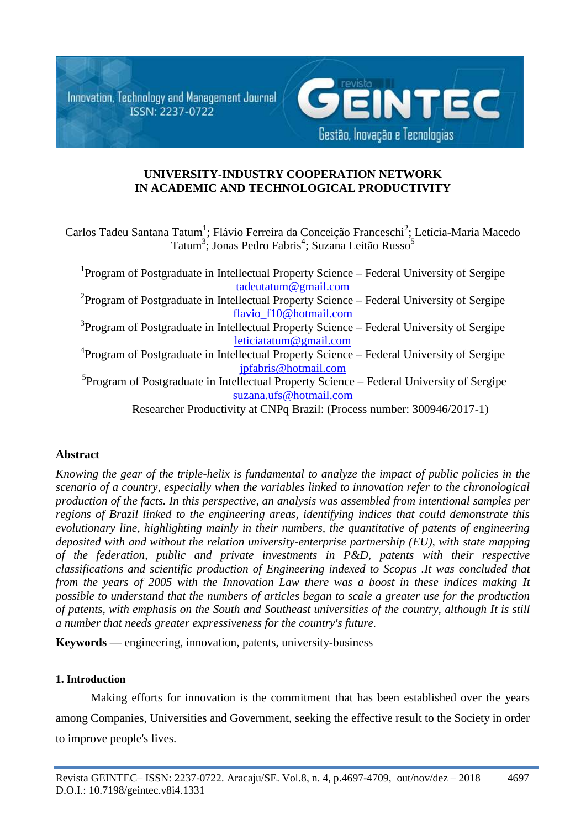Innovation, Technology and Management Journal ISSN: 2237-0722



# **UNIVERSITY-INDUSTRY COOPERATION NETWORK IN ACADEMIC AND TECHNOLOGICAL PRODUCTIVITY**

Carlos Tadeu Santana Tatum<sup>1</sup>; Flávio Ferreira da Conceição Franceschi<sup>2</sup>; Letícia-Maria Macedo Tatum<sup>3</sup>; Jonas Pedro Fabris<sup>4</sup>; Suzana Leitão Russo<sup>5</sup>

| <sup>1</sup> Program of Postgraduate in Intellectual Property Science – Federal University of Sergipe |
|-------------------------------------------------------------------------------------------------------|
| tadeutatum@gmail.com                                                                                  |
| $P$ Program of Postgraduate in Intellectual Property Science – Federal University of Sergipe          |
| flavio_f10@hotmail.com                                                                                |
| <sup>3</sup> Program of Postgraduate in Intellectual Property Science – Federal University of Sergipe |
| leticiatatum@gmail.com                                                                                |
| <sup>4</sup> Program of Postgraduate in Intellectual Property Science – Federal University of Sergipe |
| jpfabris@hotmail.com                                                                                  |
| <sup>5</sup> Program of Postgraduate in Intellectual Property Science – Federal University of Sergipe |
| suzana.ufs@hotmail.com                                                                                |
| Researcher Productivity at CNPq Brazil: (Process number: 300946/2017-1)                               |

# **Abstract**

*Knowing the gear of the triple-helix is fundamental to analyze the impact of public policies in the scenario of a country, especially when the variables linked to innovation refer to the chronological production of the facts. In this perspective, an analysis was assembled from intentional samples per regions of Brazil linked to the engineering areas, identifying indices that could demonstrate this evolutionary line, highlighting mainly in their numbers, the quantitative of patents of engineering deposited with and without the relation university-enterprise partnership (EU), with state mapping of the federation, public and private investments in P&D, patents with their respective classifications and scientific production of Engineering indexed to Scopus .It was concluded that from the years of 2005 with the Innovation Law there was a boost in these indices making It possible to understand that the numbers of articles began to scale a greater use for the production of patents, with emphasis on the South and Southeast universities of the country, although It is still a number that needs greater expressiveness for the country's future.*

**Keywords** — engineering, innovation, patents, university-business

# **1. Introduction**

Making efforts for innovation is the commitment that has been established over the years among Companies, Universities and Government, seeking the effective result to the Society in order to improve people's lives.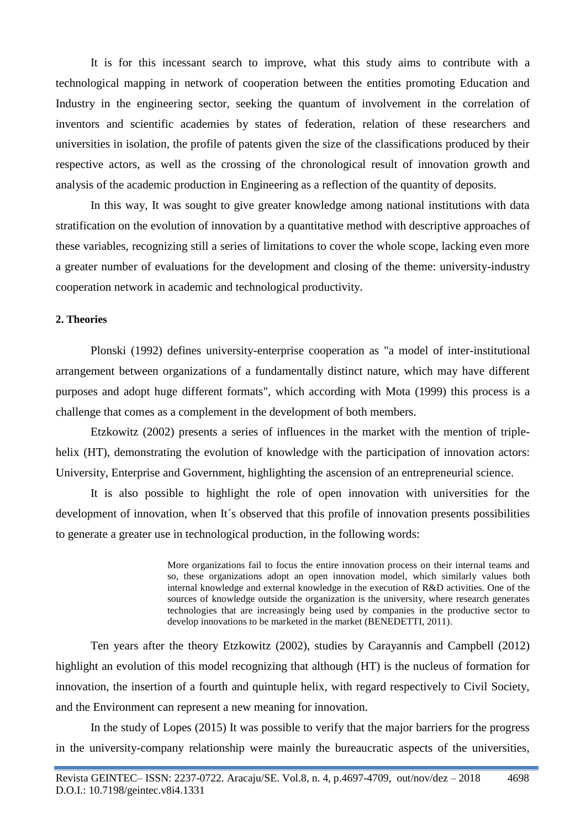It is for this incessant search to improve, what this study aims to contribute with a technological mapping in network of cooperation between the entities promoting Education and Industry in the engineering sector, seeking the quantum of involvement in the correlation of inventors and scientific academies by states of federation, relation of these researchers and universities in isolation, the profile of patents given the size of the classifications produced by their respective actors, as well as the crossing of the chronological result of innovation growth and analysis of the academic production in Engineering as a reflection of the quantity of deposits.

In this way, It was sought to give greater knowledge among national institutions with data stratification on the evolution of innovation by a quantitative method with descriptive approaches of these variables, recognizing still a series of limitations to cover the whole scope, lacking even more a greater number of evaluations for the development and closing of the theme: university-industry cooperation network in academic and technological productivity.

#### **2. Theories**

Plonski (1992) defines university-enterprise cooperation as "a model of inter-institutional arrangement between organizations of a fundamentally distinct nature, which may have different purposes and adopt huge different formats", which according with Mota (1999) this process is a challenge that comes as a complement in the development of both members.

Etzkowitz (2002) presents a series of influences in the market with the mention of triplehelix (HT), demonstrating the evolution of knowledge with the participation of innovation actors: University, Enterprise and Government, highlighting the ascension of an entrepreneurial science.

It is also possible to highlight the role of open innovation with universities for the development of innovation, when It´s observed that this profile of innovation presents possibilities to generate a greater use in technological production, in the following words:

> More organizations fail to focus the entire innovation process on their internal teams and so, these organizations adopt an open innovation model, which similarly values both internal knowledge and external knowledge in the execution of R&D activities. One of the sources of knowledge outside the organization is the university, where research generates technologies that are increasingly being used by companies in the productive sector to develop innovations to be marketed in the market (BENEDETTI, 2011).

Ten years after the theory Etzkowitz (2002), studies by Carayannis and Campbell (2012) highlight an evolution of this model recognizing that although (HT) is the nucleus of formation for innovation, the insertion of a fourth and quintuple helix, with regard respectively to Civil Society, and the Environment can represent a new meaning for innovation.

In the study of Lopes (2015) It was possible to verify that the major barriers for the progress in the university-company relationship were mainly the bureaucratic aspects of the universities,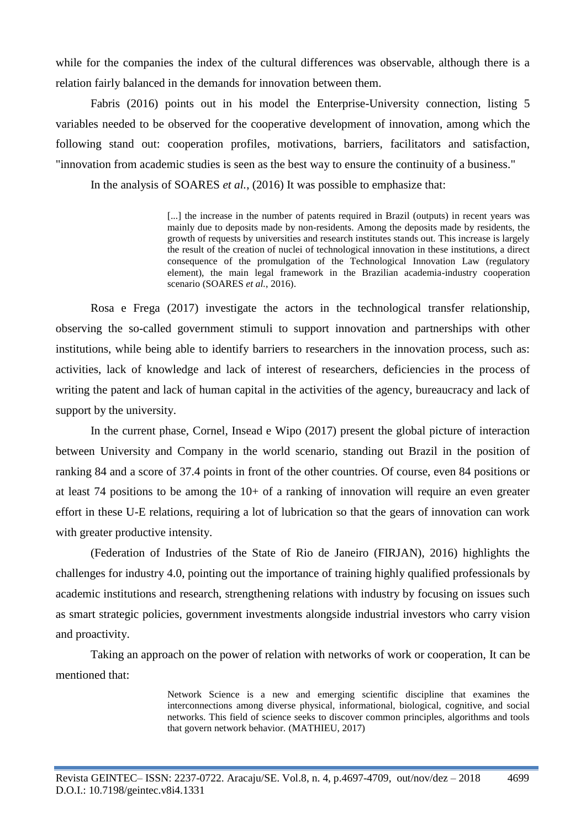while for the companies the index of the cultural differences was observable, although there is a relation fairly balanced in the demands for innovation between them.

Fabris (2016) points out in his model the Enterprise-University connection, listing 5 variables needed to be observed for the cooperative development of innovation, among which the following stand out: cooperation profiles, motivations, barriers, facilitators and satisfaction, "innovation from academic studies is seen as the best way to ensure the continuity of a business."

In the analysis of SOARES *et al.*, (2016) It was possible to emphasize that:

[...] the increase in the number of patents required in Brazil (outputs) in recent years was mainly due to deposits made by non-residents. Among the deposits made by residents, the growth of requests by universities and research institutes stands out. This increase is largely the result of the creation of nuclei of technological innovation in these institutions, a direct consequence of the promulgation of the Technological Innovation Law (regulatory element), the main legal framework in the Brazilian academia-industry cooperation scenario (SOARES *et al.*, 2016).

Rosa e Frega (2017) investigate the actors in the technological transfer relationship, observing the so-called government stimuli to support innovation and partnerships with other institutions, while being able to identify barriers to researchers in the innovation process, such as: activities, lack of knowledge and lack of interest of researchers, deficiencies in the process of writing the patent and lack of human capital in the activities of the agency, bureaucracy and lack of support by the university.

In the current phase, Cornel, Insead e Wipo (2017) present the global picture of interaction between University and Company in the world scenario, standing out Brazil in the position of ranking 84 and a score of 37.4 points in front of the other countries. Of course, even 84 positions or at least 74 positions to be among the 10+ of a ranking of innovation will require an even greater effort in these U-E relations, requiring a lot of lubrication so that the gears of innovation can work with greater productive intensity.

(Federation of Industries of the State of Rio de Janeiro (FIRJAN), 2016) highlights the challenges for industry 4.0, pointing out the importance of training highly qualified professionals by academic institutions and research, strengthening relations with industry by focusing on issues such as smart strategic policies, government investments alongside industrial investors who carry vision and proactivity.

Taking an approach on the power of relation with networks of work or cooperation, It can be mentioned that:

> Network Science is a new and emerging scientific discipline that examines the interconnections among diverse physical, informational, biological, cognitive, and social networks. This field of science seeks to discover common principles, algorithms and tools that govern network behavior. (MATHIEU, 2017)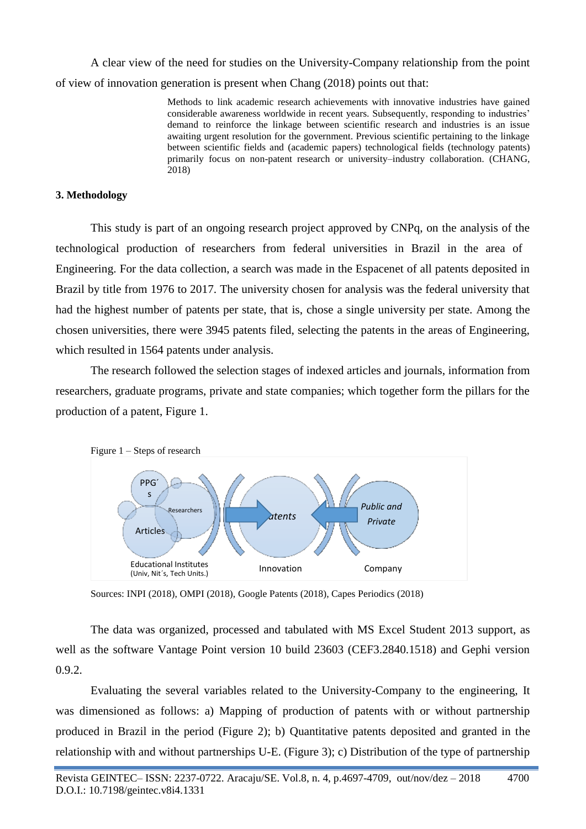A clear view of the need for studies on the University-Company relationship from the point of view of innovation generation is present when Chang (2018) points out that:

> Methods to link academic research achievements with innovative industries have gained considerable awareness worldwide in recent years. Subsequently, responding to industries' demand to reinforce the linkage between scientific research and industries is an issue awaiting urgent resolution for the government. Previous scientific pertaining to the linkage between scientific fields and (academic papers) technological fields (technology patents) primarily focus on non-patent research or university–industry collaboration. (CHANG, 2018)

### **3. Methodology**

This study is part of an ongoing research project approved by CNPq, on the analysis of the technological production of researchers from federal universities in Brazil in the area of Engineering. For the data collection, a search was made in the Espacenet of all patents deposited in Brazil by title from 1976 to 2017. The university chosen for analysis was the federal university that had the highest number of patents per state, that is, chose a single university per state. Among the chosen universities, there were 3945 patents filed, selecting the patents in the areas of Engineering, which resulted in 1564 patents under analysis.

The research followed the selection stages of indexed articles and journals, information from researchers, graduate programs, private and state companies; which together form the pillars for the production of a patent, Figure 1.



Sources: INPI (2018), OMPI (2018), Google Patents (2018), Capes Periodics (2018)

The data was organized, processed and tabulated with MS Excel Student 2013 support, as well as the software Vantage Point version 10 build 23603 (CEF3.2840.1518) and Gephi version 0.9.2.

Evaluating the several variables related to the University-Company to the engineering, It was dimensioned as follows: a) Mapping of production of patents with or without partnership produced in Brazil in the period (Figure 2); b) Quantitative patents deposited and granted in the relationship with and without partnerships U-E. (Figure 3); c) Distribution of the type of partnership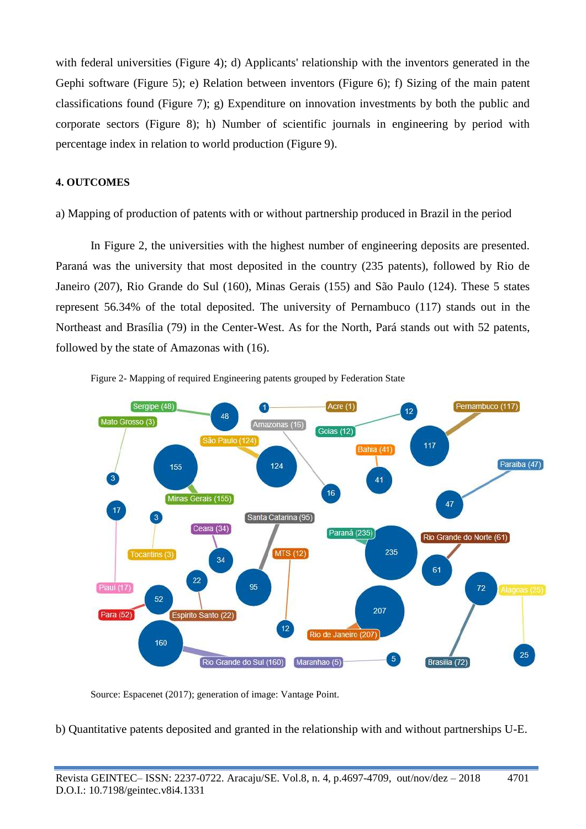with federal universities (Figure 4); d) Applicants' relationship with the inventors generated in the Gephi software (Figure 5); e) Relation between inventors (Figure 6); f) Sizing of the main patent classifications found (Figure 7); g) Expenditure on innovation investments by both the public and corporate sectors (Figure 8); h) Number of scientific journals in engineering by period with percentage index in relation to world production (Figure 9).

### **4. OUTCOMES**

a) Mapping of production of patents with or without partnership produced in Brazil in the period

In Figure 2, the universities with the highest number of engineering deposits are presented. Paraná was the university that most deposited in the country (235 patents), followed by Rio de Janeiro (207), Rio Grande do Sul (160), Minas Gerais (155) and São Paulo (124). These 5 states represent 56.34% of the total deposited. The university of Pernambuco (117) stands out in the Northeast and Brasília (79) in the Center-West. As for the North, Pará stands out with 52 patents, followed by the state of Amazonas with (16).



Figure 2- Mapping of required Engineering patents grouped by Federation State

Source: Espacenet (2017); generation of image: Vantage Point.

b) Quantitative patents deposited and granted in the relationship with and without partnerships U-E.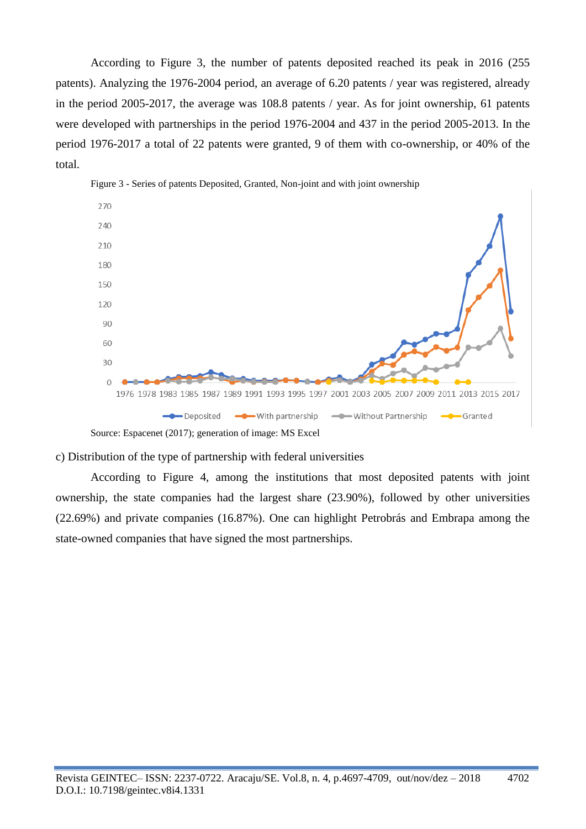According to Figure 3, the number of patents deposited reached its peak in 2016 (255 patents). Analyzing the 1976-2004 period, an average of 6.20 patents / year was registered, already in the period 2005-2017, the average was 108.8 patents / year. As for joint ownership, 61 patents were developed with partnerships in the period 1976-2004 and 437 in the period 2005-2013. In the period 1976-2017 a total of 22 patents were granted, 9 of them with co-ownership, or 40% of the total.



Figure 3 - Series of patents Deposited, Granted, Non-joint and with joint ownership

Source: Espacenet (2017); generation of image: MS Excel

c) Distribution of the type of partnership with federal universities

According to Figure 4, among the institutions that most deposited patents with joint ownership, the state companies had the largest share (23.90%), followed by other universities (22.69%) and private companies (16.87%). One can highlight Petrobrás and Embrapa among the state-owned companies that have signed the most partnerships.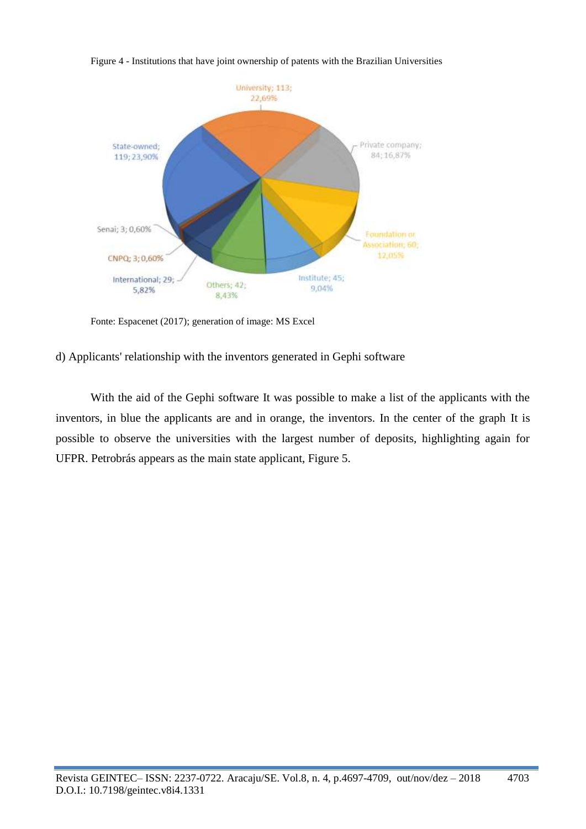

Figure 4 - Institutions that have joint ownership of patents with the Brazilian Universities

Fonte: Espacenet (2017); generation of image: MS Excel

d) Applicants' relationship with the inventors generated in Gephi software

With the aid of the Gephi software It was possible to make a list of the applicants with the inventors, in blue the applicants are and in orange, the inventors. In the center of the graph It is possible to observe the universities with the largest number of deposits, highlighting again for UFPR. Petrobrás appears as the main state applicant, Figure 5.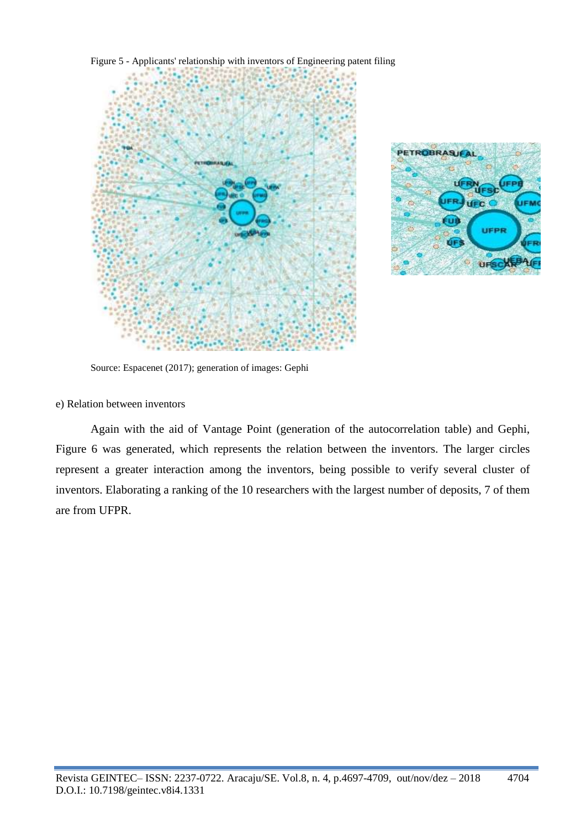





Source: Espacenet (2017); generation of images: Gephi

#### e) Relation between inventors

Again with the aid of Vantage Point (generation of the autocorrelation table) and Gephi, Figure 6 was generated, which represents the relation between the inventors. The larger circles represent a greater interaction among the inventors, being possible to verify several cluster of inventors. Elaborating a ranking of the 10 researchers with the largest number of deposits, 7 of them are from UFPR.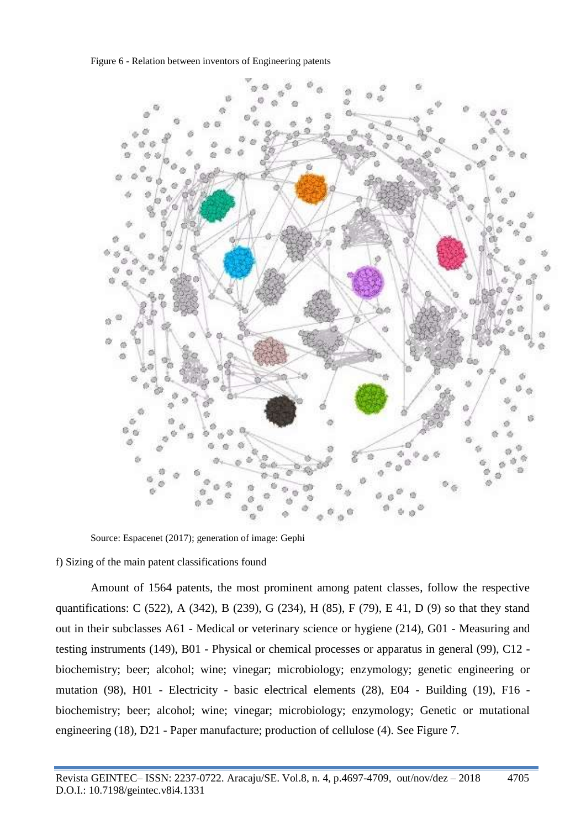Figure 6 - Relation between inventors of Engineering patents



Source: Espacenet (2017); generation of image: Gephi

f) Sizing of the main patent classifications found

Amount of 1564 patents, the most prominent among patent classes, follow the respective quantifications: C (522), A (342), B (239), G (234), H (85), F (79), E 41, D (9) so that they stand out in their subclasses A61 - Medical or veterinary science or hygiene (214), G01 - Measuring and testing instruments (149), B01 - Physical or chemical processes or apparatus in general (99), C12 biochemistry; beer; alcohol; wine; vinegar; microbiology; enzymology; genetic engineering or mutation (98), H01 - Electricity - basic electrical elements (28), E04 - Building (19), F16 biochemistry; beer; alcohol; wine; vinegar; microbiology; enzymology; Genetic or mutational engineering (18), D21 - Paper manufacture; production of cellulose (4). See Figure 7.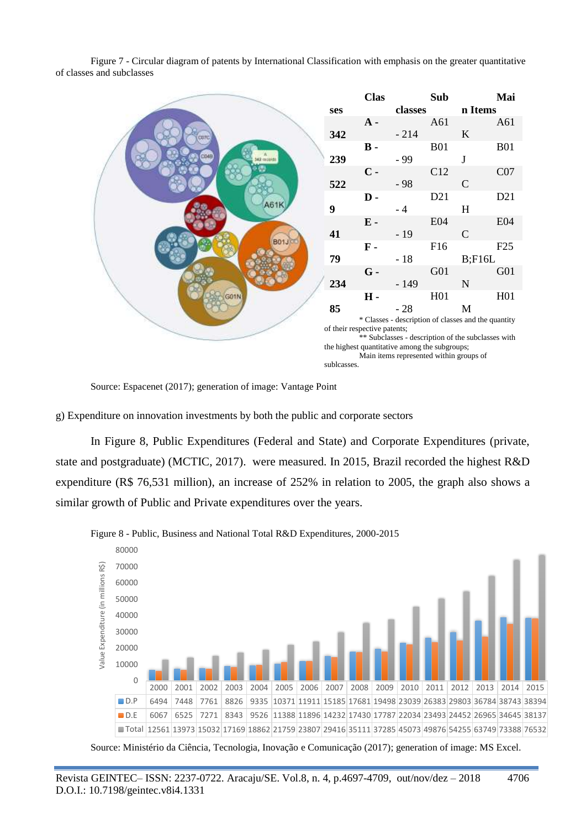Figure 7 - Circular diagram of patents by International Classification with emphasis on the greater quantitative of classes and subclasses



Source: Espacenet (2017); generation of image: Vantage Point

g) Expenditure on innovation investments by both the public and corporate sectors

In Figure 8, Public Expenditures (Federal and State) and Corporate Expenditures (private, state and postgraduate) (MCTIC, 2017). were measured. In 2015, Brazil recorded the highest R&D expenditure (R\$ 76,531 million), an increase of 252% in relation to 2005, the graph also shows a similar growth of Public and Private expenditures over the years.



Figure 8 - Public, Business and National Total R&D Expenditures, 2000-2015

Source: Ministério da Ciência, Tecnologia, Inovação e Comunicação (2017); generation of image: MS Excel.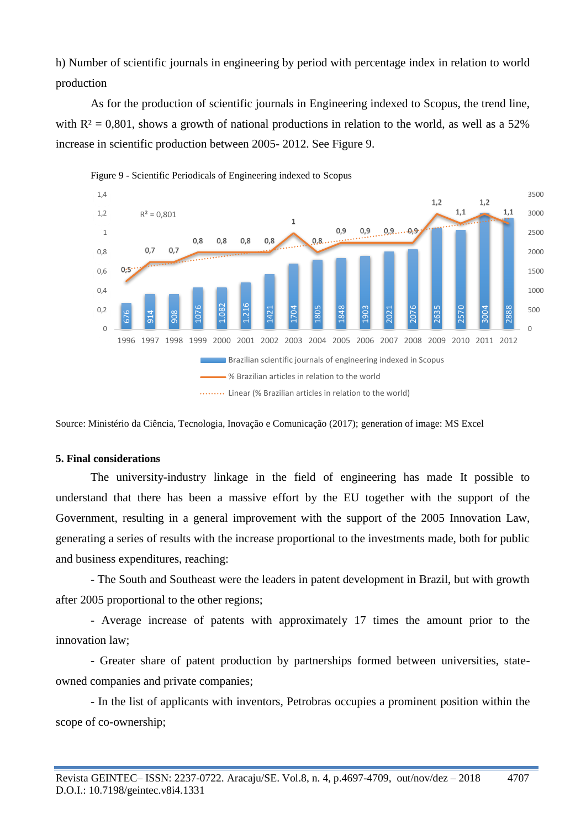h) Number of scientific journals in engineering by period with percentage index in relation to world production

As for the production of scientific journals in Engineering indexed to Scopus, the trend line, with  $R^2 = 0.801$ , shows a growth of national productions in relation to the world, as well as a 52% increase in scientific production between 2005- 2012. See Figure 9.



Source: Ministério da Ciência, Tecnologia, Inovação e Comunicação (2017); generation of image: MS Excel

#### **5. Final considerations**

The university-industry linkage in the field of engineering has made It possible to understand that there has been a massive effort by the EU together with the support of the Government, resulting in a general improvement with the support of the 2005 Innovation Law, generating a series of results with the increase proportional to the investments made, both for public and business expenditures, reaching: Source: Ministério da Ciênce<br>
Source: Ministério da Ciênce<br>
5. Final considerations<br>
The university-<br>
understand that there<br>
Government, resulting<br>
generating a series of re<br>
and business expenditu<br>
- The South and<br>
after

- The South and Southeast were the leaders in patent development in Brazil, but with growth after 2005 proportional to the other regions;

- Average increase of patents with approximately 17 times the amount prior to the innovation law;

- Greater share of patent production by partnerships formed between universities, stateowned companies and private companies;

- In the list of applicants with inventors, Petrobras occupies a prominent position within the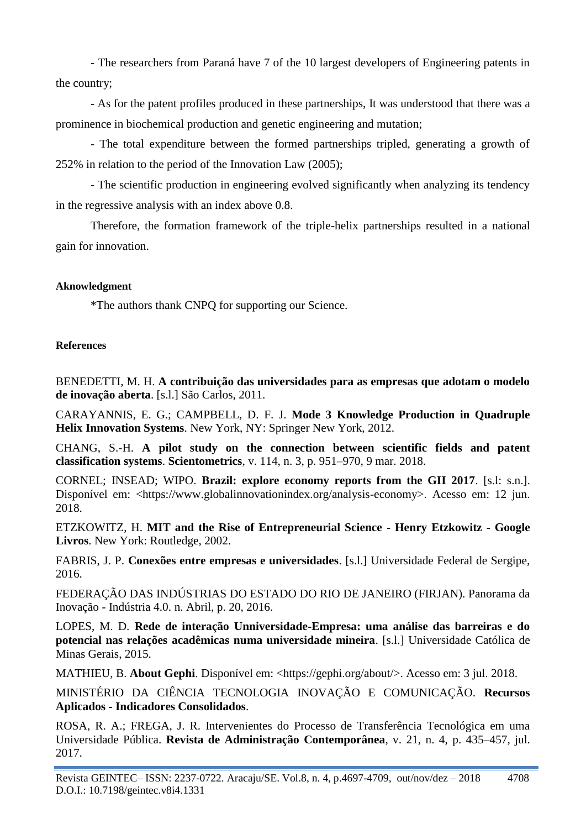- The researchers from Paraná have 7 of the 10 largest developers of Engineering patents in the country;

- As for the patent profiles produced in these partnerships, It was understood that there was a prominence in biochemical production and genetic engineering and mutation;

- The total expenditure between the formed partnerships tripled, generating a growth of 252% in relation to the period of the Innovation Law (2005);

- The scientific production in engineering evolved significantly when analyzing its tendency in the regressive analysis with an index above 0.8.

Therefore, the formation framework of the triple-helix partnerships resulted in a national gain for innovation.

# **Aknowledgment**

\*The authors thank CNPQ for supporting our Science.

# **References**

BENEDETTI, M. H. **A contribuição das universidades para as empresas que adotam o modelo de inovação aberta**. [s.l.] São Carlos, 2011.

CARAYANNIS, E. G.; CAMPBELL, D. F. J. **Mode 3 Knowledge Production in Quadruple Helix Innovation Systems**. New York, NY: Springer New York, 2012.

CHANG, S.-H. **A pilot study on the connection between scientific fields and patent classification systems**. **Scientometrics**, v. 114, n. 3, p. 951–970, 9 mar. 2018.

CORNEL; INSEAD; WIPO. **Brazil: explore economy reports from the GII 2017**. [s.l: s.n.]. Disponível em: <https://www.globalinnovationindex.org/analysis-economy>. Acesso em: 12 jun. 2018.

ETZKOWITZ, H. **MIT and the Rise of Entrepreneurial Science - Henry Etzkowitz - Google Livros**. New York: Routledge, 2002.

FABRIS, J. P. **Conexões entre empresas e universidades**. [s.l.] Universidade Federal de Sergipe, 2016.

FEDERAÇÃO DAS INDÚSTRIAS DO ESTADO DO RIO DE JANEIRO (FIRJAN). Panorama da Inovação - Indústria 4.0. n. Abril, p. 20, 2016.

LOPES, M. D. **Rede de interação Unniversidade-Empresa: uma análise das barreiras e do potencial nas relações acadêmicas numa universidade mineira**. [s.l.] Universidade Católica de Minas Gerais, 2015.

MATHIEU, B. **About Gephi**. Disponível em: <https://gephi.org/about/>. Acesso em: 3 jul. 2018.

MINISTÉRIO DA CIÊNCIA TECNOLOGIA INOVAÇÃO E COMUNICAÇÃO. **Recursos Aplicados - Indicadores Consolidados**.

ROSA, R. A.; FREGA, J. R. Intervenientes do Processo de Transferência Tecnológica em uma Universidade Pública. **Revista de Administração Contemporânea**, v. 21, n. 4, p. 435–457, jul. 2017.